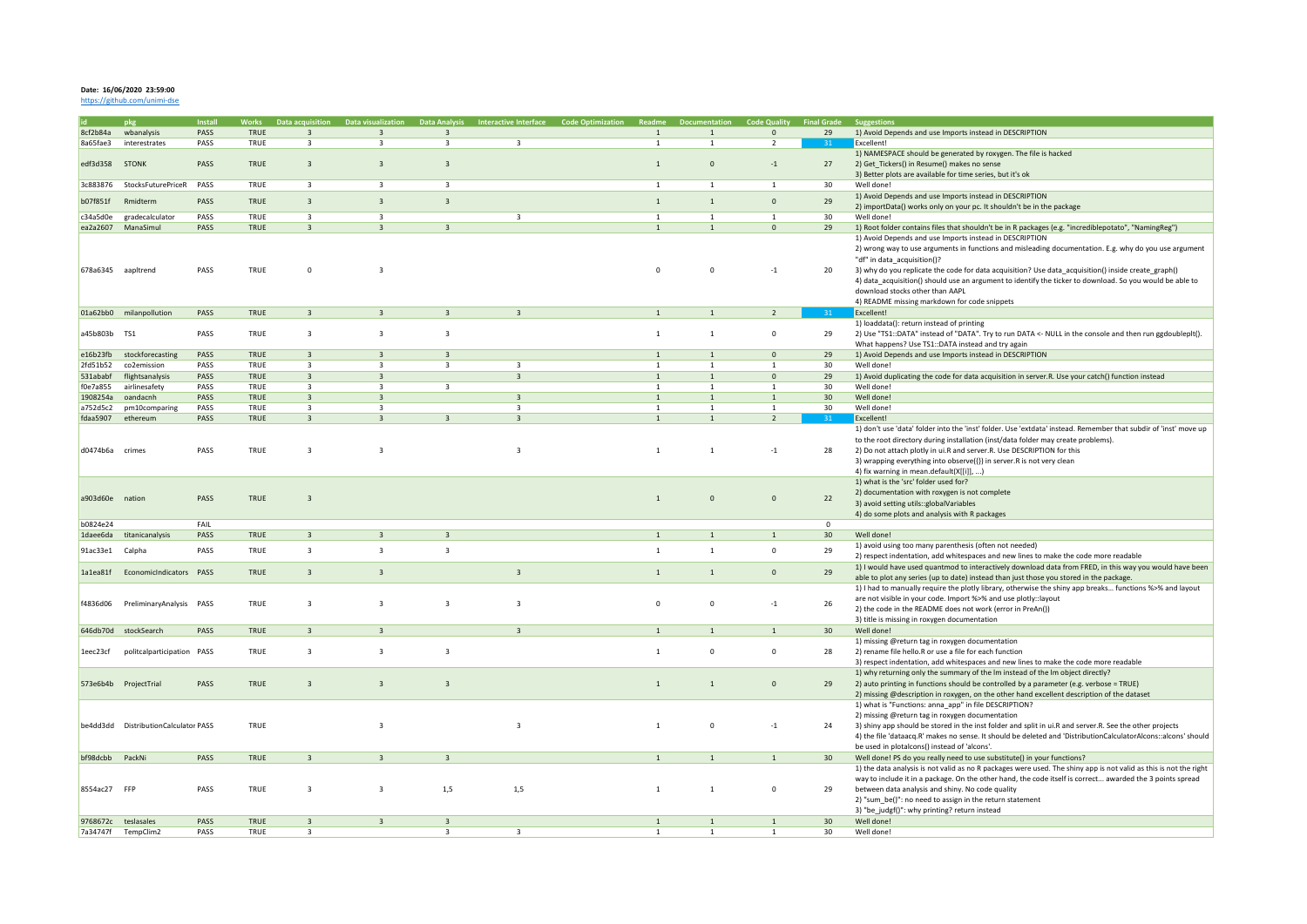## **Date: 16/06/2020 23:59:00**

<https://github.com/unimi-dse>

|                 |                                      | <b>Install</b> | /orks - | )ata acquisition        | - Data visualizati      | Data Ana                | <b>Interactive Interface</b> |                |                | -Code C        | <b>Final Grade</b> | zestions                                                                                                          |
|-----------------|--------------------------------------|----------------|---------|-------------------------|-------------------------|-------------------------|------------------------------|----------------|----------------|----------------|--------------------|-------------------------------------------------------------------------------------------------------------------|
| 8cf2b84a        | wbanalysis                           | PASS           | TRUE    | $\overline{\mathbf{3}}$ | $\overline{3}$          | $\overline{\mathbf{3}}$ |                              | $\mathbf{1}$   | $\mathbf{1}$   | $\mathbf 0$    | 29                 | 1) Avoid Depends and use Imports instead in DESCRIPTION                                                           |
| 8a65fae3        | interestrates                        | PASS           | TRUE    | $\overline{\mathbf{3}}$ | $\overline{\mathbf{3}}$ | $\overline{\mathbf{3}}$ | $\overline{\mathbf{3}}$      | $\mathbf{1}$   | $\overline{1}$ | $\overline{2}$ |                    | Excellent!                                                                                                        |
|                 |                                      |                |         |                         |                         |                         |                              |                |                |                |                    |                                                                                                                   |
|                 |                                      |                |         |                         |                         |                         |                              |                |                |                |                    | 1) NAMESPACE should be generated by roxygen. The file is hacked                                                   |
| edf3d358        | <b>STONK</b>                         | PASS           | TRUE    | $\overline{3}$          | $\overline{\mathbf{3}}$ | $\overline{\mathbf{3}}$ |                              | $\mathbf{1}$   | $\Omega$       | $-1$           | 27                 | 2) Get Tickers() in Resume() makes no sense                                                                       |
|                 |                                      |                |         |                         |                         |                         |                              |                |                |                |                    | 3) Better plots are available for time series, but it's ok                                                        |
| 3c883876        | StocksFuturePriceR PASS              |                | TRUE    | $\overline{\mathbf{3}}$ | $\overline{\mathbf{3}}$ | $\overline{\mathbf{3}}$ |                              | $\mathbf{1}$   | $\overline{1}$ | 1              | 30                 | Well done!                                                                                                        |
|                 |                                      |                |         |                         |                         |                         |                              |                |                |                |                    |                                                                                                                   |
| b07f851f        | Rmidterm                             | PASS           | TRUE    | $\overline{3}$          | $\overline{\mathbf{3}}$ | $\overline{3}$          |                              | $\mathbf{1}$   | $\overline{1}$ | $\Omega$       | 29                 | 1) Avoid Depends and use Imports instead in DESCRIPTION                                                           |
|                 |                                      |                |         |                         |                         |                         |                              |                |                |                |                    | 2) importData() works only on your pc. It shouldn't be in the package                                             |
| c34a5d0e        | gradecalculator                      | PASS           | TRUE    | $\overline{\mathbf{3}}$ | $\overline{\mathbf{3}}$ |                         | $\overline{\mathbf{3}}$      | $\mathbf{1}$   | 1              | $\mathbf{1}$   | 30                 | Well done!                                                                                                        |
|                 | ea2a2607 ManaSimul                   | PASS           | TRUE    | $\overline{3}$          | $\overline{3}$          | $\overline{3}$          |                              | $\mathbf{1}$   | $\overline{1}$ | $\mathbf{0}$   | 29                 | 1) Root folder contains files that shouldn't be in R packages (e.g. "incrediblepotato", "NamingReg")              |
|                 |                                      |                |         |                         |                         |                         |                              |                |                |                |                    |                                                                                                                   |
|                 |                                      |                |         |                         |                         |                         |                              |                |                |                |                    | 1) Avoid Depends and use Imports instead in DESCRIPTION                                                           |
|                 |                                      |                |         |                         |                         |                         |                              |                |                |                |                    | 2) wrong way to use arguments in functions and misleading documentation. E.g. why do you use argument             |
|                 |                                      |                |         |                         |                         |                         |                              |                |                |                |                    | "df" in data_acquisition()?                                                                                       |
|                 | 678a6345 aapltrend                   | PASS           | TRUE    | $\Omega$                | $\overline{3}$          |                         |                              | $\Omega$       | $\Omega$       | $-1$           | 20                 | 3) why do you replicate the code for data acquisition? Use data acquisition() inside create graph()               |
|                 |                                      |                |         |                         |                         |                         |                              |                |                |                |                    | 4) data_acquisition() should use an argument to identify the ticker to download. So you would be able to          |
|                 |                                      |                |         |                         |                         |                         |                              |                |                |                |                    |                                                                                                                   |
|                 |                                      |                |         |                         |                         |                         |                              |                |                |                |                    | download stocks other than AAPL                                                                                   |
|                 |                                      |                |         |                         |                         |                         |                              |                |                |                |                    | 4) README missing markdown for code snippets                                                                      |
|                 | 01a62bb0 milanpollution              | PASS           | TRUE    | $\overline{3}$          | $\overline{3}$          | $\overline{3}$          | $\overline{3}$               | $\mathbf{1}$   |                | 2              |                    | Excellent!                                                                                                        |
|                 |                                      |                |         |                         |                         |                         |                              |                |                |                |                    | 1) loaddata(): return instead of printing                                                                         |
|                 |                                      |                |         |                         |                         |                         |                              |                |                |                |                    |                                                                                                                   |
| a45b803b TS1    |                                      | PASS           | TRUE    | $\overline{\mathbf{3}}$ | $\overline{\mathbf{3}}$ | $\overline{\mathbf{3}}$ |                              | $1\,$          | $\overline{1}$ | $\mathbf 0$    | 29                 | 2) Use "TS1::DATA" instead of "DATA". Try to run DATA <- NULL in the console and then run ggdoubleplt().          |
|                 |                                      |                |         |                         |                         |                         |                              |                |                |                |                    | What happens? Use TS1::DATA instead and try again                                                                 |
| e16b23fb        | stockforecasting                     | PASS           | TRUE    | $\overline{3}$          | $\overline{3}$          | $\overline{3}$          |                              | $\mathbf{1}$   |                | $\Omega$       | 29                 | 1) Avoid Depends and use Imports instead in DESCRIPTION                                                           |
| 2fd51b52        | co2emission                          | PASS           | TRUE    | $\overline{\mathbf{3}}$ | $\overline{3}$          | $\overline{\mathbf{3}}$ | $\overline{3}$               | <sup>1</sup>   | $\overline{1}$ | $\mathbf{1}$   | 30                 | Well done!                                                                                                        |
|                 |                                      |                |         |                         |                         |                         |                              |                |                |                |                    |                                                                                                                   |
| 531ababf        | flightsanalysis                      | PASS           | TRUE    | $\overline{\mathbf{3}}$ | $\overline{\mathbf{3}}$ |                         | $\overline{\mathbf{3}}$      | $\mathbf{1}$   | $\mathbf{1}$   | $\Omega$       | 29                 | 1) Avoid duplicating the code for data acquisition in server.R. Use your catch() function instead                 |
| f0e7a855        | airlinesafety                        | PASS           | TRUE    | $\overline{3}$          | $\overline{\mathbf{3}}$ | $\overline{\mathbf{3}}$ |                              | $\overline{1}$ | $\mathbf{1}$   | $\mathbf{1}$   | 30 <sup>°</sup>    | Well done!                                                                                                        |
| 1908254a        | oandacnh                             | PASS           | TRUE    | $\overline{3}$          | $\overline{\mathbf{3}}$ |                         | $\overline{3}$               | $\mathbf{1}$   | $\mathbf{1}$   | $\mathbf{1}$   | 30 <sup>°</sup>    | Well done!                                                                                                        |
| a752d5c2        | pm10comparing                        | PASS           | TRUE    | $\overline{\mathbf{3}}$ | $\overline{\mathbf{3}}$ |                         | $\overline{\mathbf{3}}$      | $\mathbf{1}$   | $\overline{1}$ | $\mathbf{1}$   | 30 <sup>2</sup>    | Well done!                                                                                                        |
|                 |                                      |                |         |                         |                         |                         |                              |                |                |                |                    |                                                                                                                   |
| fdaa5907        | ethereum                             | PASS           | TRUE    | $\overline{\mathbf{3}}$ | $\overline{3}$          | $\overline{\mathbf{3}}$ | $\overline{3}$               | $\mathbf{1}$   | $\mathbf{1}$   | $\overline{2}$ | 31                 | Excellent!                                                                                                        |
|                 |                                      |                |         |                         |                         |                         |                              |                |                |                |                    | 1) don't use 'data' folder into the 'inst' folder. Use 'extdata' instead. Remember that subdir of 'inst' move up  |
|                 |                                      |                |         |                         |                         |                         |                              |                |                |                |                    | to the root directory during installation (inst/data folder may create problems).                                 |
| d0474b6a        | crimes                               | PASS           | TRUE    | $\overline{3}$          | $\overline{3}$          |                         | $\overline{3}$               | $\mathbf{1}$   |                | $\cdot 1$      | 28                 | 2) Do not attach plotly in ui.R and server.R. Use DESCRIPTION for this                                            |
|                 |                                      |                |         |                         |                         |                         |                              |                |                |                |                    |                                                                                                                   |
|                 |                                      |                |         |                         |                         |                         |                              |                |                |                |                    | 3) wrapping everything into observe({}) in server.R is not very clean                                             |
|                 |                                      |                |         |                         |                         |                         |                              |                |                |                |                    | 4) fix warning in mean.default(X[[i]], )                                                                          |
|                 |                                      |                |         |                         |                         |                         |                              |                |                |                |                    | 1) what is the 'src' folder used for?                                                                             |
|                 |                                      |                |         |                         |                         |                         |                              |                |                |                |                    | 2) documentation with roxygen is not complete                                                                     |
| a903d60e nation |                                      | PASS           | TRUE    | $\overline{\mathbf{3}}$ |                         |                         |                              | $\mathbf{1}$   | $\mathbf{0}$   | $\Omega$       | 22                 | 3) avoid setting utils::globalVariables                                                                           |
|                 |                                      |                |         |                         |                         |                         |                              |                |                |                |                    |                                                                                                                   |
|                 |                                      |                |         |                         |                         |                         |                              |                |                |                |                    | 4) do some plots and analysis with R packages                                                                     |
| b0824e24        |                                      | FAIL           |         |                         |                         |                         |                              |                |                |                | $\mathbf{0}$       |                                                                                                                   |
| 1daee6da        | titanicanalysis                      | PASS           | TRUE    | $\overline{3}$          | $\overline{\mathbf{z}}$ | $\overline{3}$          |                              | $\overline{1}$ |                | $\mathbf{1}$   | 30 <sup>°</sup>    | Well done!                                                                                                        |
|                 |                                      |                |         |                         |                         |                         |                              |                |                |                |                    | 1) avoid using too many parenthesis (often not needed)                                                            |
| 91ac33e1        | Calpha                               | PASS           | TRUE    | $\overline{\mathbf{3}}$ | $\overline{\mathbf{3}}$ | $\overline{\mathbf{3}}$ |                              | $\mathbf{1}$   | $\overline{1}$ | $\mathbf 0$    | 29                 |                                                                                                                   |
|                 |                                      |                |         |                         |                         |                         |                              |                |                |                |                    | 2) respect indentation, add whitespaces and new lines to make the code more readable                              |
|                 | 1a1ea81f EconomicIndicators PASS     |                | TRUE    | $\overline{\mathbf{3}}$ | $\overline{\mathbf{3}}$ |                         | $\overline{\mathbf{3}}$      | $\mathbf{1}$   | $\overline{1}$ | $\mathbf{0}$   | 29                 | 1) I would have used quantmod to interactively download data from FRED, in this way you would have been           |
|                 |                                      |                |         |                         |                         |                         |                              |                |                |                |                    | able to plot any series (up to date) instead than just those you stored in the package.                           |
|                 |                                      |                |         |                         |                         |                         |                              |                |                |                |                    | 1) I had to manually require the plotly library, otherwise the shiny app breaks functions %>% and layout          |
|                 |                                      |                |         |                         |                         |                         |                              |                |                |                |                    |                                                                                                                   |
| f4836d06        | PreliminaryAnalysis PASS             |                | TRUE    | $\overline{3}$          | $\overline{3}$          | $\overline{3}$          | $\overline{3}$               | $\mathbf 0$    | $\Omega$       | $-1$           | 26                 | are not visible in your code. Import %>% and use plotly::layout                                                   |
|                 |                                      |                |         |                         |                         |                         |                              |                |                |                |                    | 2) the code in the README does not work (error in PreAn())                                                        |
|                 |                                      |                |         |                         |                         |                         |                              |                |                |                |                    | 3) title is missing in roxygen documentation                                                                      |
|                 | 646db70d stockSearch                 | PASS           | TRUE    | $\overline{3}$          | $\overline{\mathbf{z}}$ |                         | $\overline{\mathbf{z}}$      | $\mathbf{1}$   |                | 1              | 30 <sup>°</sup>    | Well done!                                                                                                        |
|                 |                                      |                |         |                         |                         |                         |                              |                |                |                |                    |                                                                                                                   |
|                 |                                      |                |         |                         |                         |                         |                              |                |                |                |                    | 1) missing @return tag in roxygen documentation                                                                   |
| 1eec23cf        | politcalparticipation PASS           |                | TRUE    | $\overline{\mathbf{3}}$ | $\overline{\mathbf{3}}$ | $\overline{\mathbf{3}}$ |                              | $\mathbf{1}$   | $\mathbf{0}$   | $\mathbf{0}$   | 28                 | 2) rename file hello.R or use a file for each function                                                            |
|                 |                                      |                |         |                         |                         |                         |                              |                |                |                |                    | 3) respect indentation, add whitespaces and new lines to make the code more readable                              |
|                 |                                      |                |         |                         |                         |                         |                              |                |                |                |                    | 1) why returning only the summary of the Im instead of the Im object directly?                                    |
|                 | 573e6b4b ProjectTrial                | PASS           | TRUE    | $\overline{3}$          | $\overline{\mathbf{3}}$ | $\overline{3}$          |                              | $1\,$          | $\overline{1}$ | $\Omega$       | 29                 | 2) auto printing in functions should be controlled by a parameter (e.g. verbose = TRUE)                           |
|                 |                                      |                |         |                         |                         |                         |                              |                |                |                |                    |                                                                                                                   |
|                 |                                      |                |         |                         |                         |                         |                              |                |                |                |                    | 2) missing @description in roxygen, on the other hand excellent description of the dataset                        |
|                 |                                      |                |         |                         |                         |                         |                              |                |                |                |                    | 1) what is "Functions: anna_app" in file DESCRIPTION?                                                             |
|                 |                                      |                |         |                         |                         |                         |                              |                |                |                |                    | 2) missing @return tag in roxygen documentation                                                                   |
|                 | be4dd3dd DistributionCalculator PASS |                | TRUE    |                         | $\overline{3}$          |                         | $\overline{\mathbf{3}}$      | $1\,$          | $\Omega$       | $-1$           | 24                 | 3) shiny app should be stored in the inst folder and split in ui.R and server.R. See the other projects           |
|                 |                                      |                |         |                         |                         |                         |                              |                |                |                |                    |                                                                                                                   |
|                 |                                      |                |         |                         |                         |                         |                              |                |                |                |                    | 4) the file 'dataacq.R' makes no sense. It should be deleted and 'DistributionCalculatorAlcons::alcons' should    |
|                 |                                      |                |         |                         |                         |                         |                              |                |                |                |                    | be used in plotalcons() instead of 'alcons'.                                                                      |
| bf98dcbb        | PackNi                               | PASS           | TRUE    | $\overline{\mathbf{3}}$ | $\overline{3}$          | $\overline{3}$          |                              | $\mathbf{1}$   |                | 1              | 30 <sup>2</sup>    | Well done! PS do you really need to use substitute() in your functions?                                           |
|                 |                                      |                |         |                         |                         |                         |                              |                |                |                |                    | 1) the data analysis is not valid as no R packages were used. The shiny app is not valid as this is not the right |
|                 |                                      |                |         |                         |                         |                         |                              |                |                |                |                    |                                                                                                                   |
|                 |                                      |                |         |                         |                         |                         |                              |                |                |                |                    | way to include it in a package. On the other hand, the code itself is correct awarded the 3 points spread         |
| 8554ac27 FFP    |                                      | PASS           | TRUE    | $\overline{\mathbf{3}}$ | $\overline{\mathbf{3}}$ | 1,5                     | 1,5                          | $\mathbf{1}$   | $\mathbf{1}$   | $\mathsf 0$    | 29                 | between data analysis and shiny. No code quality                                                                  |
|                 |                                      |                |         |                         |                         |                         |                              |                |                |                |                    | 2) "sum_be()": no need to assign in the return statement                                                          |
|                 |                                      |                |         |                         |                         |                         |                              |                |                |                |                    | 3) "be judgf()": why printing? return instead                                                                     |
|                 |                                      | PASS           | TRUE    |                         |                         |                         |                              |                | $\mathbf{1}$   |                | 30                 |                                                                                                                   |
|                 | 9768672c teslasales                  |                |         | $\overline{\mathbf{3}}$ | $\overline{3}$          | $\overline{3}$          |                              | $\overline{1}$ |                | $\overline{1}$ |                    | Well done!                                                                                                        |
|                 | 7a34747f TempClim2                   | PASS           | TRUE    | $\overline{3}$          |                         | $\overline{\mathbf{3}}$ | $\overline{\mathbf{3}}$      | $\mathbf{1}$   | $\overline{1}$ | 1              | 30                 | Well done!                                                                                                        |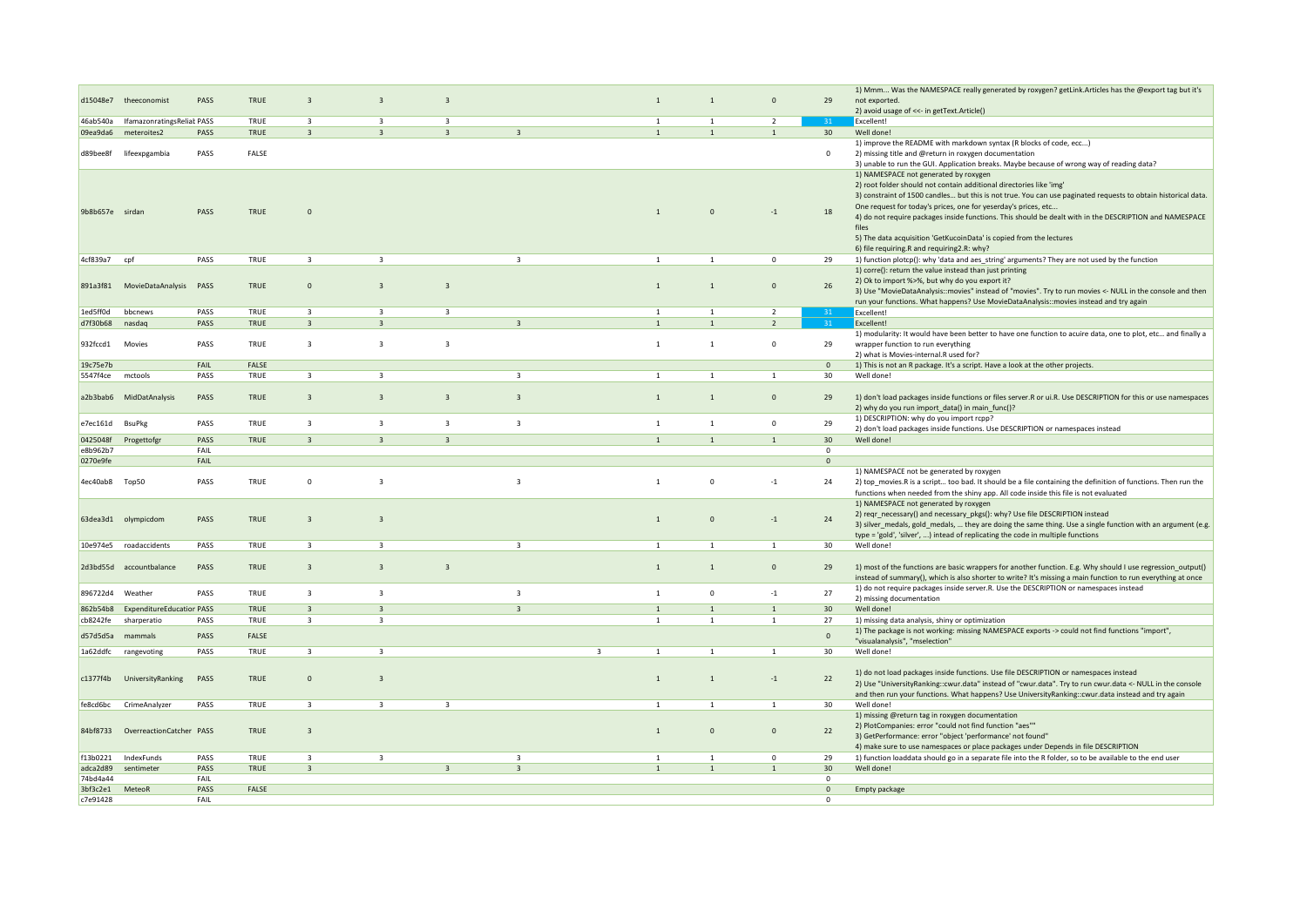|                      |                                  |              |               |                         |                         |                         |                                                    |                                         |                                |                  |                     | 1) Mmm Was the NAMESPACE really generated by roxygen? getLink.Articles has the @export tag but it's              |
|----------------------|----------------------------------|--------------|---------------|-------------------------|-------------------------|-------------------------|----------------------------------------------------|-----------------------------------------|--------------------------------|------------------|---------------------|------------------------------------------------------------------------------------------------------------------|
| d15048e7             | theeconomist                     | PASS         | TRUE          | $\overline{3}$          | $\overline{3}$          | $\overline{3}$          |                                                    | $\mathbf{1}$                            | $\mathbf{1}$                   | $\mathbf{0}$     | 29                  | not exported.<br>2) avoid usage of <<- in getText.Article()                                                      |
| 46ab540a             | IfamazonratingsReliak PASS       |              | TRUE          | 3                       | $\overline{\mathbf{3}}$ | $\overline{\mathbf{3}}$ |                                                    | $\overline{1}$                          | $\overline{1}$                 | $\overline{2}$   | 31                  | Excellent!                                                                                                       |
| 09ea9da6             | meteroites2                      | PASS         | TRUE          | $\overline{\mathbf{3}}$ | $\overline{\mathbf{3}}$ | $\overline{3}$          | $\overline{3}$                                     | $\mathbf{1}$                            | $\mathbf{1}$                   | $\mathbf{1}$     | 30                  | Well done!                                                                                                       |
|                      |                                  |              |               |                         |                         |                         |                                                    |                                         |                                |                  |                     | 1) improve the README with markdown syntax (R blocks of code, ecc)                                               |
| d89bee8f             | lifeexpgambia                    | PASS         | FALSE         |                         |                         |                         |                                                    |                                         |                                |                  | $\Omega$            | 2) missing title and @return in roxygen documentation                                                            |
|                      |                                  |              |               |                         |                         |                         |                                                    |                                         |                                |                  |                     | 3) unable to run the GUI. Application breaks. Maybe because of wrong way of reading data?                        |
|                      |                                  |              |               |                         |                         |                         |                                                    |                                         |                                |                  |                     | 1) NAMESPACE not generated by roxygen                                                                            |
|                      |                                  |              |               |                         |                         |                         |                                                    |                                         |                                |                  |                     | 2) root folder should not contain additional directories like 'img'                                              |
|                      |                                  |              |               |                         |                         |                         |                                                    |                                         |                                |                  |                     | 3) constraint of 1500 candles but this is not true. You can use paginated requests to obtain historical data.    |
| 9b8b657e sirdan      |                                  | PASS         | TRUE          | $\mathbf 0$             |                         |                         |                                                    | $\overline{1}$                          | $\mathbf{0}$                   | $-1$             | 18                  | One request for today's prices, one for yeserday's prices, etc                                                   |
|                      |                                  |              |               |                         |                         |                         |                                                    |                                         |                                |                  |                     | 4) do not require packages inside functions. This should be dealt with in the DESCRIPTION and NAMESPACE<br>files |
|                      |                                  |              |               |                         |                         |                         |                                                    |                                         |                                |                  |                     | 5) The data acquisition 'GetKucoinData' is copied from the lectures                                              |
|                      |                                  |              |               |                         |                         |                         |                                                    |                                         |                                |                  |                     | 6) file requiring.R and requiring2.R: why?                                                                       |
| 4cf839a7             | cpf                              | PASS         | TRUE          | $\overline{\mathbf{3}}$ | $\overline{\mathbf{3}}$ |                         | $\overline{\mathbf{3}}$                            | $\mathbf{1}$                            | $\mathbf{1}$                   | $\mathbf 0$      | 29                  | 1) function plotcp(): why 'data and aes_string' arguments? They are not used by the function                     |
|                      |                                  |              |               |                         |                         |                         |                                                    |                                         |                                |                  |                     | 1) corre(): return the value instead than just printing                                                          |
|                      |                                  |              |               |                         |                         |                         |                                                    |                                         |                                |                  |                     | 2) Ok to import %>%, but why do you export it?                                                                   |
| 891a3f81             | MovieDataAnalysis PASS           |              | TRUE          | $\mathbf{0}$            | $\overline{3}$          | $\overline{\mathbf{3}}$ |                                                    | $\mathbf{1}$                            | $\overline{1}$                 | $\mathbf{0}$     | 26                  | 3) Use "MovieDataAnalysis::movies" instead of "movies". Try to run movies <- NULL in the console and then        |
|                      |                                  |              |               |                         |                         |                         |                                                    |                                         |                                |                  |                     | run your functions. What happens? Use MovieDataAnalysis::movies instead and try again                            |
| 1ed5ff0d             | bbcnews                          | PASS         | TRUE          | $\overline{\mathbf{3}}$ | $\overline{\mathbf{3}}$ | $\overline{\mathbf{3}}$ |                                                    | $\mathbf{1}$                            | 1                              | $\overline{2}$   |                     | Excellent!                                                                                                       |
| d7f30b68             | nasdag                           | PASS         | TRUE          | $\overline{\mathbf{3}}$ | $\overline{\mathbf{3}}$ |                         | $\overline{3}$                                     | $1\,$                                   | $\mathbf{1}$                   | $\overline{2}$   | 31                  | Excellent!                                                                                                       |
|                      |                                  |              |               |                         |                         |                         |                                                    |                                         |                                |                  |                     | 1) modularity: It would have been better to have one function to acuire data, one to plot, etc and finally a     |
| 932fccd1             | Movies                           | PASS         | TRUE          | $\overline{3}$          | $\overline{\mathbf{3}}$ | $\overline{\mathbf{3}}$ |                                                    | $\mathbf{1}$                            | $\mathbf{1}$                   | $\mathbf 0$      | 29                  | wrapper function to run everything                                                                               |
|                      |                                  | FAIL         |               |                         |                         |                         |                                                    |                                         |                                |                  |                     | 2) what is Movies-internal.R used for?                                                                           |
| 19c75e7b<br>5547f4ce | mctools                          | PASS         | FALSE<br>TRUE | $\overline{\mathbf{3}}$ | $\overline{\mathbf{3}}$ |                         | $\overline{\mathbf{3}}$                            | $\mathbf{1}$                            | $\mathbf{1}$                   | $\mathbf{1}$     | $\mathbf 0$<br>30   | 1) This is not an R package. It's a script. Have a look at the other projects.<br>Well done!                     |
|                      |                                  |              |               |                         |                         |                         |                                                    |                                         |                                |                  |                     |                                                                                                                  |
|                      | a2b3bab6 MidDatAnalysis          | PASS         | TRUE          | $\overline{\mathbf{3}}$ | $\overline{\mathbf{3}}$ | $\overline{3}$          | $\overline{\mathbf{3}}$                            | $\mathbf{1}$                            | $\overline{1}$                 | $\mathbf{0}$     | 29                  | 1) don't load packages inside functions or files server. R or ui. R. Use DESCRIPTION for this or use namespaces  |
|                      |                                  |              |               |                         |                         |                         |                                                    |                                         |                                |                  |                     | 2) why do you run import_data() in main_func()?                                                                  |
|                      |                                  |              |               |                         |                         |                         |                                                    |                                         |                                |                  |                     | 1) DESCRIPTION: why do you import rcpp?                                                                          |
| e7ec161d             | <b>BsuPkg</b>                    | PASS         | TRUE          | $\overline{3}$          | $\overline{\mathbf{3}}$ | $\overline{\mathbf{3}}$ | $\overline{\mathbf{3}}$                            | $\mathbf{1}$                            | $\mathbf{1}$                   | 0                | 29                  | 2) don't load packages inside functions. Use DESCRIPTION or namespaces instead                                   |
| 0425048f             | Progettofgr                      | PASS         | TRUE          | $\overline{3}$          | $\overline{3}$          | $\overline{3}$          |                                                    | $\mathbf{1}$                            | $\mathbf{1}$                   | 1                | 30                  | Well done!                                                                                                       |
| e8b962b7             |                                  | FAIL         |               |                         |                         |                         |                                                    |                                         |                                |                  | $\mathbf 0$         |                                                                                                                  |
|                      |                                  |              |               |                         |                         |                         |                                                    |                                         |                                |                  |                     |                                                                                                                  |
| 0270e9fe             |                                  | FAIL         |               |                         |                         |                         |                                                    |                                         |                                |                  | $\mathbf{0}$        |                                                                                                                  |
|                      |                                  |              |               |                         |                         |                         |                                                    |                                         |                                |                  |                     | 1) NAMESPACE not be generated by roxygen                                                                         |
| 4ec40ab8 Top50       |                                  | PASS         | TRUE          | $\mathbf 0$             | $\overline{\mathbf{3}}$ |                         | $\overline{\mathbf{3}}$                            | $1\,$                                   | $\mathbf 0$                    | $-1$             | 24                  | 2) top_movies.R is a script too bad. It should be a file containing the definition of functions. Then run the    |
|                      |                                  |              |               |                         |                         |                         |                                                    |                                         |                                |                  |                     | functions when needed from the shiny app. All code inside this file is not evaluated                             |
|                      |                                  |              |               |                         |                         |                         |                                                    |                                         |                                |                  |                     | 1) NAMESPACE not generated by roxygen                                                                            |
|                      | 63dea3d1 olympicdom              | PASS         | TRUE          | $\overline{\mathbf{3}}$ | $\overline{\mathbf{3}}$ |                         |                                                    | $\mathbf{1}$                            | $\Omega$                       | $-1$             | 24                  | 2) reqr_necessary() and necessary_pkgs(): why? Use file DESCRIPTION instead                                      |
|                      |                                  |              |               |                         |                         |                         |                                                    |                                         |                                |                  |                     | 3) silver_medals, gold_medals,  they are doing the same thing. Use a single function with an argument (e.g.      |
| 10e974e5             | roadaccidents                    | PASS         | TRUE          | $\overline{\mathbf{3}}$ | $\overline{\mathbf{3}}$ |                         | $\overline{\mathbf{3}}$                            | $\mathbf{1}$                            | $\overline{1}$                 | $\mathbf{1}$     | 30                  | type = 'gold', 'silver', ) intead of replicating the code in multiple functions<br>Well done!                    |
|                      |                                  |              |               |                         |                         |                         |                                                    |                                         |                                |                  |                     |                                                                                                                  |
|                      | 2d3bd55d accountbalance          | PASS         | TRUE          | $\overline{\mathbf{3}}$ | $\overline{\mathbf{3}}$ | $\overline{3}$          |                                                    | $1\,$                                   | $\overline{1}$                 | $\mathbf{0}$     | 29                  | 1) most of the functions are basic wrappers for another function. E.g. Why should I use regression_output()      |
|                      |                                  |              |               |                         |                         |                         |                                                    |                                         |                                |                  |                     | instead of summary(), which is also shorter to write? It's missing a main function to run everything at once     |
|                      |                                  |              |               |                         |                         |                         |                                                    |                                         |                                |                  |                     | 1) do not require packages inside server.R. Use the DESCRIPTION or namespaces instead                            |
| 896722d4             | Weather                          | PASS         | TRUE          | $\overline{\mathbf{3}}$ | $\overline{\mathbf{3}}$ |                         | $\overline{\mathbf{3}}$                            | $\mathbf{1}$                            | $\mathsf 0$                    | $-1$             | 27                  | 2) missing documentation                                                                                         |
| 862b54b8             | <b>ExpenditureEducatior PASS</b> |              | TRUE          | $\overline{\mathbf{3}}$ | $\overline{3}$          |                         | $\overline{\mathbf{z}}$                            | $\overline{1}$                          | $\mathbf{1}$                   | $\mathbf{1}$     | 30                  | Well done!                                                                                                       |
| cb8242fe             | sharperatio                      | PASS         | <b>TRUE</b>   | $\overline{3}$          | $\overline{\mathbf{3}}$ |                         |                                                    | $\mathbf{1}$                            | $\mathbf{1}$                   | 1                | 27                  | 1) missing data analysis, shiny or optimization                                                                  |
| d57d5d5a             | mammals                          | PASS         | FALSE         |                         |                         |                         |                                                    |                                         |                                |                  | $\mathsf{O}\xspace$ | 1) The package is not working: missing NAMESPACE exports -> could not find functions "import",                   |
|                      |                                  |              |               |                         |                         |                         |                                                    |                                         |                                |                  |                     | "visualanalysis", "mselection"                                                                                   |
| 1a62ddfc             | rangevoting                      | PASS         | <b>TRUE</b>   | $\overline{\mathbf{3}}$ | $\overline{3}$          |                         |                                                    | $\overline{\mathbf{3}}$<br>$\mathbf{1}$ | $\overline{1}$                 | $\mathbf{1}$     | 30                  | Well done!                                                                                                       |
|                      |                                  |              |               |                         |                         |                         |                                                    |                                         |                                |                  |                     | 1) do not load packages inside functions. Use file DESCRIPTION or namespaces instead                             |
| c1377f4b             | UniversityRanking                | PASS         | TRUE          | $\mathbf{0}$            | $\overline{\mathbf{3}}$ |                         |                                                    | $\mathbf{1}$                            | $\mathbf 1$                    | $-1$             | 22                  | 2) Use "UniversityRanking::cwur.data" instead of "cwur.data". Try to run cwur.data <- NULL in the console        |
|                      |                                  |              |               |                         |                         |                         |                                                    |                                         |                                |                  |                     | and then run your functions. What happens? Use UniversityRanking::cwur.data instead and try again                |
| fe8cd6bc             | CrimeAnalyzer                    | PASS         | TRUE          | $\overline{\mathbf{3}}$ | $\overline{\mathbf{3}}$ | $\overline{3}$          |                                                    | $\mathbf{1}$                            | $\overline{1}$                 | $\mathbf{1}$     | 30                  | Well done!                                                                                                       |
|                      |                                  |              |               |                         |                         |                         |                                                    |                                         |                                |                  |                     | 1) missing @return tag in roxygen documentation                                                                  |
| 84bf8733             | OverreactionCatcher PASS         |              | TRUE          | $\overline{\mathbf{3}}$ |                         |                         |                                                    | $\mathbf{1}$                            | $\Omega$                       | $\mathbf{0}$     | 22                  | 2) PlotCompanies: error "could not find function "aes""                                                          |
|                      |                                  |              |               |                         |                         |                         |                                                    |                                         |                                |                  |                     | 3) GetPerformance: error "object 'performance' not found"                                                        |
|                      |                                  |              |               |                         |                         |                         |                                                    |                                         |                                |                  |                     | 4) make sure to use namespaces or place packages under Depends in file DESCRIPTION                               |
| f13b0221             | IndexFunds                       | PASS<br>PASS | TRUE<br>TRUE  | $\overline{3}$          | $\overline{\mathbf{3}}$ | $\mathbf{3}$            | $\overline{\mathbf{3}}$<br>$\overline{\mathbf{3}}$ | $\mathbf{1}$<br>$\mathbf{1}$            | $\overline{1}$<br>$\mathbf{1}$ | $\mathbf 0$<br>1 | 29                  | 1) function loaddata should go in a separate file into the R folder, so to be available to the end user          |
| adca2d89<br>74bd4a44 | sentimeter                       | FAIL         |               | $\overline{\mathbf{3}}$ |                         |                         |                                                    |                                         |                                |                  | 30<br>$\Omega$      | Well done!                                                                                                       |
| 3bf3c2e1             | MeteoR                           | PASS         | FALSE         |                         |                         |                         |                                                    |                                         |                                |                  | $\mathbf{0}$        | Empty package                                                                                                    |